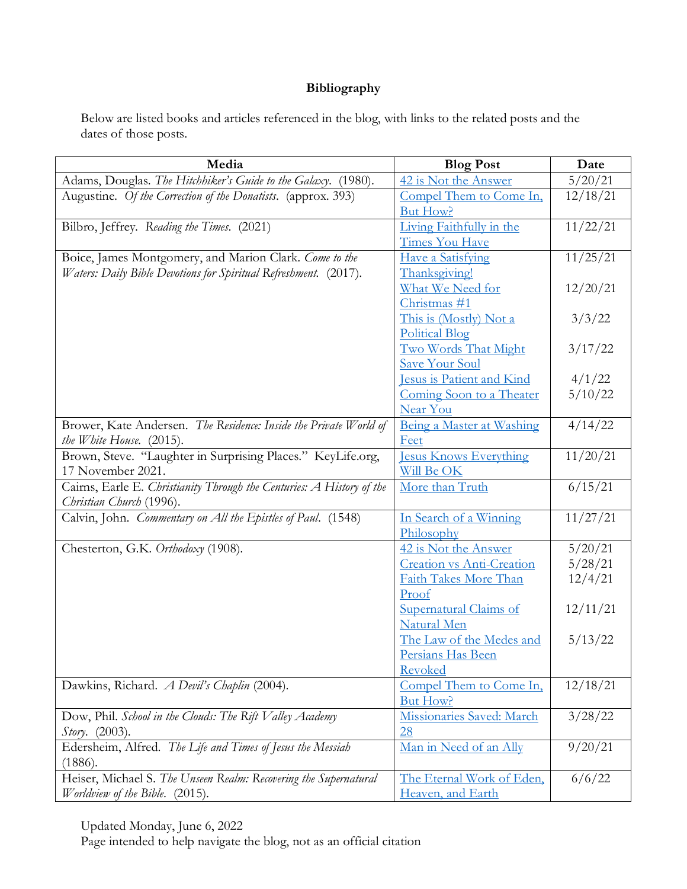## **Bibliography**

Below are listed books and articles referenced in the blog, with links to the related posts and the dates of those posts.

| Media                                                                                             | <b>Blog Post</b>                 | Date     |
|---------------------------------------------------------------------------------------------------|----------------------------------|----------|
| Adams, Douglas. The Hitchhiker's Guide to the Galaxy. (1980).                                     | 42 is Not the Answer             | 5/20/21  |
| Augustine. Of the Correction of the Donatists. (approx. 393)                                      | Compel Them to Come In,          | 12/18/21 |
|                                                                                                   | But How?                         |          |
| Bilbro, Jeffrey. Reading the Times. (2021)                                                        | Living Faithfully in the         | 11/22/21 |
|                                                                                                   | <b>Times You Have</b>            |          |
| Boice, James Montgomery, and Marion Clark. Come to the                                            | <b>Have a Satisfying</b>         | 11/25/21 |
| Waters: Daily Bible Devotions for Spiritual Refreshment. (2017).                                  | Thanksgiving!                    |          |
|                                                                                                   | What We Need for                 | 12/20/21 |
|                                                                                                   | Christmas #1                     |          |
|                                                                                                   | This is (Mostly) Not a           | 3/3/22   |
|                                                                                                   | <b>Political Blog</b>            |          |
|                                                                                                   | Two Words That Might             | 3/17/22  |
|                                                                                                   | <b>Save Your Soul</b>            |          |
|                                                                                                   | Jesus is Patient and Kind        | 4/1/22   |
|                                                                                                   | Coming Soon to a Theater         | 5/10/22  |
|                                                                                                   | Near You                         |          |
| Brower, Kate Andersen. The Residence: Inside the Private World of                                 | Being a Master at Washing        | 4/14/22  |
| the White House. (2015).                                                                          | Feet                             |          |
| Brown, Steve. "Laughter in Surprising Places." KeyLife.org,                                       | <b>Jesus Knows Everything</b>    | 11/20/21 |
| 17 November 2021.                                                                                 | Will Be OK                       |          |
| Cairns, Earle E. Christianity Through the Centuries: A History of the<br>Christian Church (1996). | More than Truth                  | 6/15/21  |
| Calvin, John. Commentary on All the Epistles of Paul. (1548)                                      | In Search of a Winning           | 11/27/21 |
|                                                                                                   | Philosophy                       |          |
| Chesterton, G.K. Orthodoxy (1908).                                                                | 42 is Not the Answer             | 5/20/21  |
|                                                                                                   | <b>Creation vs Anti-Creation</b> | 5/28/21  |
|                                                                                                   | Faith Takes More Than            | 12/4/21  |
|                                                                                                   | Proof                            |          |
|                                                                                                   | Supernatural Claims of           | 12/11/21 |
|                                                                                                   | Natural Men                      |          |
|                                                                                                   | The Law of the Medes and         | 5/13/22  |
|                                                                                                   | Persians Has Been                |          |
|                                                                                                   | Revoked                          |          |
| Dawkins, Richard. A Devil's Chaplin (2004).                                                       | Compel Them to Come In,          | 12/18/21 |
|                                                                                                   | <b>But How?</b>                  |          |
| Dow, Phil. School in the Clouds: The Rift Valley Academy                                          | Missionaries Saved: March        | 3/28/22  |
| Story. (2003).                                                                                    | 28                               |          |
| Edersheim, Alfred. The Life and Times of Jesus the Messiah                                        | Man in Need of an Ally           | 9/20/21  |
| (1886).                                                                                           |                                  |          |
| Heiser, Michael S. The Unseen Realm: Recovering the Supernatural                                  | The Eternal Work of Eden,        | 6/6/22   |
| Worldview of the Bible. (2015).                                                                   | Heaven, and Earth                |          |

Updated Monday, June 6, 2022

Page intended to help navigate the blog, not as an official citation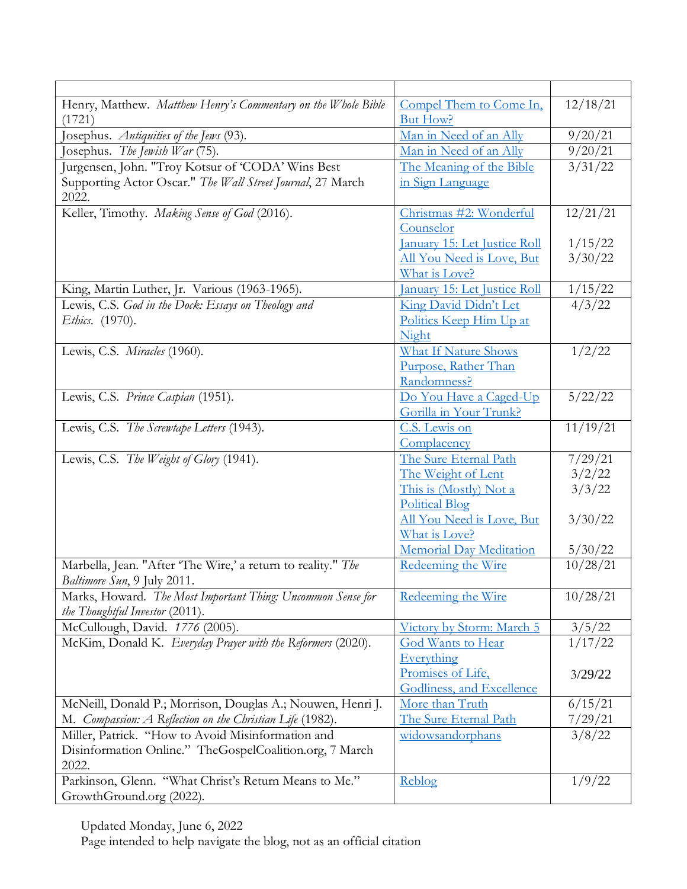| Henry, Matthew. Matthew Henry's Commentary on the Whole Bible       | Compel Them to Come In.          | 12/18/21                 |
|---------------------------------------------------------------------|----------------------------------|--------------------------|
| (1721)                                                              | <b>But How?</b>                  |                          |
| Josephus. Antiquities of the Jews (93).                             | Man in Need of an Ally           | 9/20/21                  |
| Josephus. The Jewish War $(75)$ .                                   | Man in Need of an Ally           | 9/20/21                  |
| Jurgensen, John. "Troy Kotsur of 'CODA' Wins Best                   | The Meaning of the Bible         | 3/31/22                  |
| Supporting Actor Oscar." The Wall Street Journal, 27 March<br>2022. | in Sign Language                 |                          |
| Keller, Timothy. Making Sense of God (2016).                        | Christmas #2: Wonderful          | 12/21/21                 |
|                                                                     | Counselor                        |                          |
|                                                                     | January 15: Let Justice Roll     | 1/15/22                  |
|                                                                     | <u>All You Need is Love, But</u> | 3/30/22                  |
|                                                                     | What is Love?                    |                          |
| King, Martin Luther, Jr. Various (1963-1965).                       | January 15: Let Justice Roll     | 1/15/22                  |
| Lewis, C.S. God in the Dock: Essays on Theology and                 | King David Didn't Let            | 4/3/22                   |
| <i>Ethics.</i> (1970).                                              | Politics Keep Him Up at          |                          |
|                                                                     | Night                            |                          |
| Lewis, C.S. Miracles (1960).                                        | <b>What If Nature Shows</b>      | 1/2/22                   |
|                                                                     | Purpose, Rather Than             |                          |
|                                                                     | Randomness?                      |                          |
| Lewis, C.S. Prince Caspian (1951).                                  | Do You Have a Caged-Up           | 5/22/22                  |
|                                                                     | Gorilla in Your Trunk?           |                          |
| Lewis, C.S. The Screwtape Letters (1943).                           | C.S. Lewis on                    | 11/19/21                 |
|                                                                     | Complacency                      |                          |
| Lewis, C.S. The Weight of Glory (1941).                             | The Sure Eternal Path            | 7/29/21                  |
|                                                                     | The Weight of Lent               | 3/2/22                   |
|                                                                     | This is (Mostly) Not a           | 3/3/22                   |
|                                                                     | <b>Political Blog</b>            |                          |
|                                                                     | All You Need is Love, But        | 3/30/22                  |
|                                                                     | What is Love?                    |                          |
|                                                                     | Memorial Day Meditation          | 5/30/22                  |
| Marbella, Jean. "After 'The Wire,' a return to reality." The        | Redeeming the Wire               | 10/28/21                 |
| Baltimore Sun, 9 July 2011.                                         |                                  |                          |
| Marks, Howard. The Most Important Thing: Uncommon Sense for         | Redeeming the Wire               | 10/28/21                 |
| the Thoughtful Investor (2011).                                     |                                  |                          |
| McCullough, David. 1776 (2005).                                     | Victory by Storm: March 5        | $\frac{3/5/22}{1/17/22}$ |
| McKim, Donald K. Everyday Prayer with the Reformers (2020).         | God Wants to Hear                |                          |
|                                                                     | Everything                       |                          |
|                                                                     | Promises of Life,                | 3/29/22                  |
|                                                                     | Godliness, and Excellence        |                          |
| McNeill, Donald P.; Morrison, Douglas A.; Nouwen, Henri J.          | More than Truth                  | 6/15/21                  |
| M. Compassion: A Reflection on the Christian Life (1982).           | The Sure Eternal Path            | 7/29/21                  |
| Miller, Patrick. "How to Avoid Misinformation and                   | widowsandorphans                 | 3/8/22                   |
| Disinformation Online." TheGospelCoalition.org, 7 March             |                                  |                          |
| 2022.                                                               |                                  |                          |
| Parkinson, Glenn. "What Christ's Return Means to Me."               | Reblog                           | 1/9/22                   |
| GrowthGround.org (2022).                                            |                                  |                          |

Updated Monday, June 6, 2022

Page intended to help navigate the blog, not as an official citation